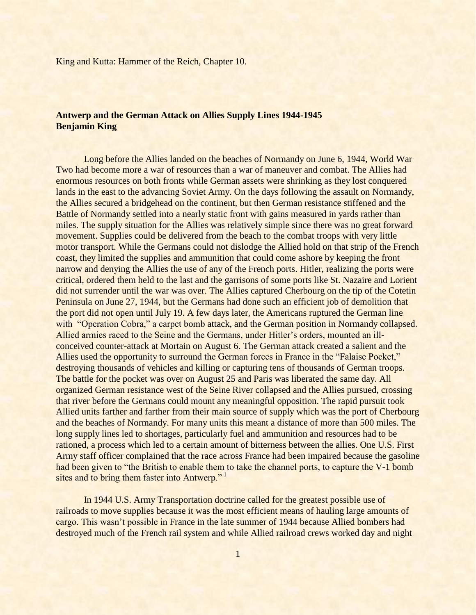# **Antwerp and the German Attack on Allies Supply Lines 1944-1945 Benjamin King**

Long before the Allies landed on the beaches of Normandy on June 6, 1944, World War Two had become more a war of resources than a war of maneuver and combat. The Allies had enormous resources on both fronts while German assets were shrinking as they lost conquered lands in the east to the advancing Soviet Army. On the days following the assault on Normandy, the Allies secured a bridgehead on the continent, but then German resistance stiffened and the Battle of Normandy settled into a nearly static front with gains measured in yards rather than miles. The supply situation for the Allies was relatively simple since there was no great forward movement. Supplies could be delivered from the beach to the combat troops with very little motor transport. While the Germans could not dislodge the Allied hold on that strip of the French coast, they limited the supplies and ammunition that could come ashore by keeping the front narrow and denying the Allies the use of any of the French ports. Hitler, realizing the ports were critical, ordered them held to the last and the garrisons of some ports like St. Nazaire and Lorient did not surrender until the war was over. The Allies captured Cherbourg on the tip of the Cotetin Peninsula on June 27, 1944, but the Germans had done such an efficient job of demolition that the port did not open until July 19. A few days later, the Americans ruptured the German line with "Operation Cobra," a carpet bomb attack, and the German position in Normandy collapsed. Allied armies raced to the Seine and the Germans, under Hitler's orders, mounted an illconceived counter-attack at Mortain on August 6. The German attack created a salient and the Allies used the opportunity to surround the German forces in France in the "Falaise Pocket," destroying thousands of vehicles and killing or capturing tens of thousands of German troops. The battle for the pocket was over on August 25 and Paris was liberated the same day. All organized German resistance west of the Seine River collapsed and the Allies pursued, crossing that river before the Germans could mount any meaningful opposition. The rapid pursuit took Allied units farther and farther from their main source of supply which was the port of Cherbourg and the beaches of Normandy. For many units this meant a distance of more than 500 miles. The long supply lines led to shortages, particularly fuel and ammunition and resources had to be rationed, a process which led to a certain amount of bitterness between the allies. One U.S. First Army staff officer complained that the race across France had been impaired because the gasoline had been given to "the British to enable them to take the channel ports, to capture the V-1 bomb sites and to bring them faster into Antwerp."<sup>1</sup>

In 1944 U.S. Army Transportation doctrine called for the greatest possible use of railroads to move supplies because it was the most efficient means of hauling large amounts of cargo. This wasn"t possible in France in the late summer of 1944 because Allied bombers had destroyed much of the French rail system and while Allied railroad crews worked day and night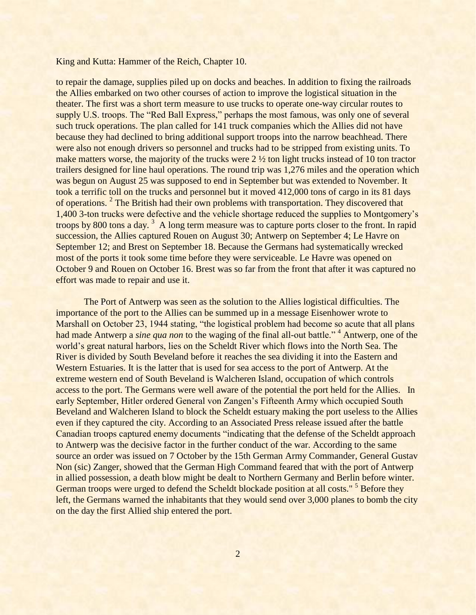to repair the damage, supplies piled up on docks and beaches. In addition to fixing the railroads the Allies embarked on two other courses of action to improve the logistical situation in the theater. The first was a short term measure to use trucks to operate one-way circular routes to supply U.S. troops. The "Red Ball Express," perhaps the most famous, was only one of several such truck operations. The plan called for 141 truck companies which the Allies did not have because they had declined to bring additional support troops into the narrow beachhead. There were also not enough drivers so personnel and trucks had to be stripped from existing units. To make matters worse, the majority of the trucks were  $2\frac{1}{2}$  ton light trucks instead of 10 ton tractor trailers designed for line haul operations. The round trip was 1,276 miles and the operation which was begun on August 25 was supposed to end in September but was extended to November. It took a terrific toll on the trucks and personnel but it moved 412,000 tons of cargo in its 81 days of operations.<sup>2</sup> The British had their own problems with transportation. They discovered that 1,400 3-ton trucks were defective and the vehicle shortage reduced the supplies to Montgomery"s troops by 800 tons a day.<sup>3</sup> A long term measure was to capture ports closer to the front. In rapid succession, the Allies captured Rouen on August 30; Antwerp on September 4; Le Havre on September 12; and Brest on September 18. Because the Germans had systematically wrecked most of the ports it took some time before they were serviceable. Le Havre was opened on October 9 and Rouen on October 16. Brest was so far from the front that after it was captured no effort was made to repair and use it.

The Port of Antwerp was seen as the solution to the Allies logistical difficulties. The importance of the port to the Allies can be summed up in a message Eisenhower wrote to Marshall on October 23, 1944 stating, "the logistical problem had become so acute that all plans had made Antwerp a *sine qua non* to the waging of the final all-out battle."<sup>4</sup> Antwerp, one of the world"s great natural harbors, lies on the Scheldt River which flows into the North Sea. The River is divided by South Beveland before it reaches the sea dividing it into the Eastern and Western Estuaries. It is the latter that is used for sea access to the port of Antwerp. At the extreme western end of South Beveland is Walcheren Island, occupation of which controls access to the port. The Germans were well aware of the potential the port held for the Allies. In early September, Hitler ordered General von Zangen"s Fifteenth Army which occupied South Beveland and Walcheren Island to block the Scheldt estuary making the port useless to the Allies even if they captured the city. According to an Associated Press release issued after the battle Canadian troops captured enemy documents "indicating that the defense of the Scheldt approach to Antwerp was the decisive factor in the further conduct of the war. According to the same source an order was issued on 7 October by the 15th German Army Commander, General Gustav Non (sic) Zanger, showed that the German High Command feared that with the port of Antwerp in allied possession, a death blow might be dealt to Northern Germany and Berlin before winter. German troops were urged to defend the Scheldt blockade position at all costs."<sup>5</sup> Before they left, the Germans warned the inhabitants that they would send over 3,000 planes to bomb the city on the day the first Allied ship entered the port.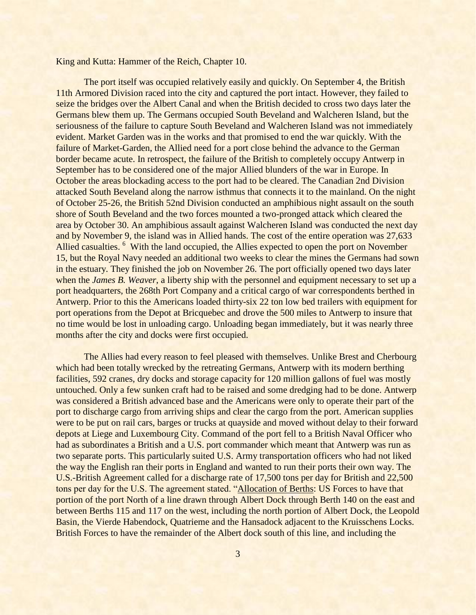The port itself was occupied relatively easily and quickly. On September 4, the British 11th Armored Division raced into the city and captured the port intact. However, they failed to seize the bridges over the Albert Canal and when the British decided to cross two days later the Germans blew them up. The Germans occupied South Beveland and Walcheren Island, but the seriousness of the failure to capture South Beveland and Walcheren Island was not immediately evident. Market Garden was in the works and that promised to end the war quickly. With the failure of Market-Garden, the Allied need for a port close behind the advance to the German border became acute. In retrospect, the failure of the British to completely occupy Antwerp in September has to be considered one of the major Allied blunders of the war in Europe. In October the areas blockading access to the port had to be cleared. The Canadian 2nd Division attacked South Beveland along the narrow isthmus that connects it to the mainland. On the night of October 25-26, the British 52nd Division conducted an amphibious night assault on the south shore of South Beveland and the two forces mounted a two-pronged attack which cleared the area by October 30. An amphibious assault against Walcheren Island was conducted the next day and by November 9, the island was in Allied hands. The cost of the entire operation was 27,633 Allied casualties. <sup>6</sup> With the land occupied, the Allies expected to open the port on November 15, but the Royal Navy needed an additional two weeks to clear the mines the Germans had sown in the estuary. They finished the job on November 26. The port officially opened two days later when the *James B. Weaver*, a liberty ship with the personnel and equipment necessary to set up a port headquarters, the 268th Port Company and a critical cargo of war correspondents berthed in Antwerp. Prior to this the Americans loaded thirty-six 22 ton low bed trailers with equipment for port operations from the Depot at Bricquebec and drove the 500 miles to Antwerp to insure that no time would be lost in unloading cargo. Unloading began immediately, but it was nearly three months after the city and docks were first occupied.

The Allies had every reason to feel pleased with themselves. Unlike Brest and Cherbourg which had been totally wrecked by the retreating Germans, Antwerp with its modern berthing facilities, 592 cranes, dry docks and storage capacity for 120 million gallons of fuel was mostly untouched. Only a few sunken craft had to be raised and some dredging had to be done. Antwerp was considered a British advanced base and the Americans were only to operate their part of the port to discharge cargo from arriving ships and clear the cargo from the port. American supplies were to be put on rail cars, barges or trucks at quayside and moved without delay to their forward depots at Liege and Luxembourg City. Command of the port fell to a British Naval Officer who had as subordinates a British and a U.S. port commander which meant that Antwerp was run as two separate ports. This particularly suited U.S. Army transportation officers who had not liked the way the English ran their ports in England and wanted to run their ports their own way. The U.S.-British Agreement called for a discharge rate of 17,500 tons per day for British and 22,500 tons per day for the U.S. The agreement stated. "Allocation of Berths: US Forces to have that portion of the port North of a line drawn through Albert Dock through Berth 140 on the east and between Berths 115 and 117 on the west, including the north portion of Albert Dock, the Leopold Basin, the Vierde Habendock, Quatrieme and the Hansadock adjacent to the Kruisschens Locks. British Forces to have the remainder of the Albert dock south of this line, and including the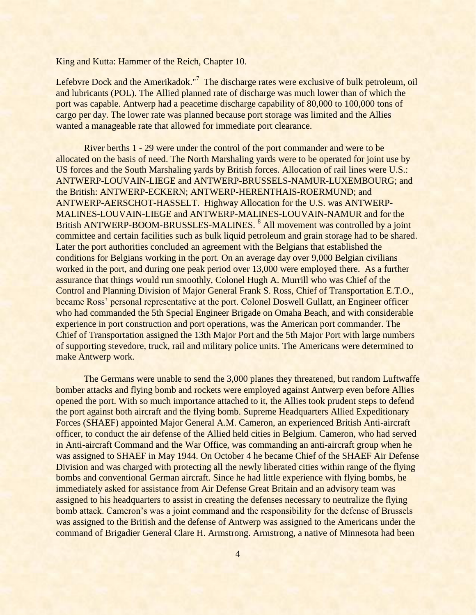Lefebvre Dock and the Amerikadok."<sup>7</sup> The discharge rates were exclusive of bulk petroleum, oil and lubricants (POL). The Allied planned rate of discharge was much lower than of which the port was capable. Antwerp had a peacetime discharge capability of 80,000 to 100,000 tons of cargo per day. The lower rate was planned because port storage was limited and the Allies wanted a manageable rate that allowed for immediate port clearance.

River berths 1 - 29 were under the control of the port commander and were to be allocated on the basis of need. The North Marshaling yards were to be operated for joint use by US forces and the South Marshaling yards by British forces. Allocation of rail lines were U.S.: ANTWERP-LOUVAIN-LIEGE and ANTWERP-BRUSSELS-NAMUR-LUXEMBOURG; and the British: ANTWERP-ECKERN; ANTWERP-HERENTHAIS-ROERMUND; and ANTWERP-AERSCHOT-HASSELT. Highway Allocation for the U.S. was ANTWERP-MALINES-LOUVAIN-LIEGE and ANTWERP-MALINES-LOUVAIN-NAMUR and for the British ANTWERP-BOOM-BRUSSLES-MALINES.<sup>8</sup> All movement was controlled by a joint committee and certain facilities such as bulk liquid petroleum and grain storage had to be shared. Later the port authorities concluded an agreement with the Belgians that established the conditions for Belgians working in the port. On an average day over 9,000 Belgian civilians worked in the port, and during one peak period over 13,000 were employed there. As a further assurance that things would run smoothly, Colonel Hugh A. Murrill who was Chief of the Control and Planning Division of Major General Frank S. Ross, Chief of Transportation E.T.O., became Ross' personal representative at the port. Colonel Doswell Gullatt, an Engineer officer who had commanded the 5th Special Engineer Brigade on Omaha Beach, and with considerable experience in port construction and port operations, was the American port commander. The Chief of Transportation assigned the 13th Major Port and the 5th Major Port with large numbers of supporting stevedore, truck, rail and military police units. The Americans were determined to make Antwerp work.

The Germans were unable to send the 3,000 planes they threatened, but random Luftwaffe bomber attacks and flying bomb and rockets were employed against Antwerp even before Allies opened the port. With so much importance attached to it, the Allies took prudent steps to defend the port against both aircraft and the flying bomb. Supreme Headquarters Allied Expeditionary Forces (SHAEF) appointed Major General A.M. Cameron, an experienced British Anti-aircraft officer, to conduct the air defense of the Allied held cities in Belgium. Cameron, who had served in Anti-aircraft Command and the War Office, was commanding an anti-aircraft group when he was assigned to SHAEF in May 1944. On October 4 he became Chief of the SHAEF Air Defense Division and was charged with protecting all the newly liberated cities within range of the flying bombs and conventional German aircraft. Since he had little experience with flying bombs, he immediately asked for assistance from Air Defense Great Britain and an advisory team was assigned to his headquarters to assist in creating the defenses necessary to neutralize the flying bomb attack. Cameron's was a joint command and the responsibility for the defense of Brussels was assigned to the British and the defense of Antwerp was assigned to the Americans under the command of Brigadier General Clare H. Armstrong. Armstrong, a native of Minnesota had been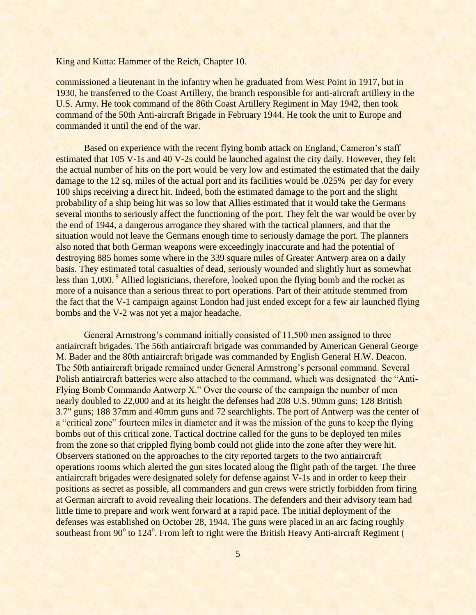commissioned a lieutenant in the infantry when he graduated from West Point in 1917, but in 1930, he transferred to the Coast Artillery, the branch responsible for anti-aircraft artillery in the U.S. Army. He took command of the 86th Coast Artillery Regiment in May 1942, then took command of the 50th Anti-aircraft Brigade in February 1944. He took the unit to Europe and commanded it until the end of the war.

Based on experience with the recent flying bomb attack on England, Cameron's staff estimated that 105 V-1s and 40 V-2s could be launched against the city daily. However, they felt the actual number of hits on the port would be very low and estimated the estimated that the daily damage to the 12 sq. miles of the actual port and its facilities would be .025% per day for every 100 ships receiving a direct hit. Indeed, both the estimated damage to the port and the slight probability of a ship being hit was so low that Allies estimated that it would take the Germans several months to seriously affect the functioning of the port. They felt the war would be over by the end of 1944, a dangerous arrogance they shared with the tactical planners, and that the situation would not leave the Germans enough time to seriously damage the port. The planners also noted that both German weapons were exceedingly inaccurate and had the potential of destroying 885 homes some where in the 339 square miles of Greater Antwerp area on a daily basis. They estimated total casualties of dead, seriously wounded and slightly hurt as somewhat less than 1,000.<sup>9</sup> Allied logisticians, therefore, looked upon the flying bomb and the rocket as more of a nuisance than a serious threat to port operations. Part of their attitude stemmed from the fact that the V-1 campaign against London had just ended except for a few air launched flying bombs and the V-2 was not yet a major headache.

General Armstrong's command initially consisted of 11,500 men assigned to three antiaircraft brigades. The 56th antiaircraft brigade was commanded by American General George M. Bader and the 80th antiaircraft brigade was commanded by English General H.W. Deacon. The 50th antiaircraft brigade remained under General Armstrong"s personal command. Several Polish antiaircraft batteries were also attached to the command, which was designated the "Anti-Flying Bomb Commando Antwerp X." Over the course of the campaign the number of men nearly doubled to 22,000 and at its height the defenses had 208 U.S. 90mm guns; 128 British 3.7" guns; 188 37mm and 40mm guns and 72 searchlights. The port of Antwerp was the center of a "critical zone" fourteen miles in diameter and it was the mission of the guns to keep the flying bombs out of this critical zone. Tactical doctrine called for the guns to be deployed ten miles from the zone so that crippled flying bomb could not glide into the zone after they were hit. Observers stationed on the approaches to the city reported targets to the two antiaircraft operations rooms which alerted the gun sites located along the flight path of the target. The three antiaircraft brigades were designated solely for defense against V-1s and in order to keep their positions as secret as possible, all commanders and gun crews were strictly forbidden from firing at German aircraft to avoid revealing their locations. The defenders and their advisory team had little time to prepare and work went forward at a rapid pace. The initial deployment of the defenses was established on October 28, 1944. The guns were placed in an arc facing roughly southeast from 90° to 124°. From left to right were the British Heavy Anti-aircraft Regiment (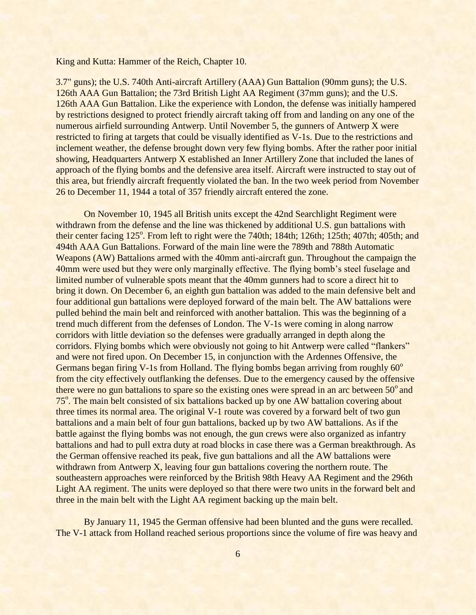3.7" guns); the U.S. 740th Anti-aircraft Artillery (AAA) Gun Battalion (90mm guns); the U.S. 126th AAA Gun Battalion; the 73rd British Light AA Regiment (37mm guns); and the U.S. 126th AAA Gun Battalion. Like the experience with London, the defense was initially hampered by restrictions designed to protect friendly aircraft taking off from and landing on any one of the numerous airfield surrounding Antwerp. Until November 5, the gunners of Antwerp X were restricted to firing at targets that could be visually identified as V-1s. Due to the restrictions and inclement weather, the defense brought down very few flying bombs. After the rather poor initial showing, Headquarters Antwerp X established an Inner Artillery Zone that included the lanes of approach of the flying bombs and the defensive area itself. Aircraft were instructed to stay out of this area, but friendly aircraft frequently violated the ban. In the two week period from November 26 to December 11, 1944 a total of 357 friendly aircraft entered the zone.

On November 10, 1945 all British units except the 42nd Searchlight Regiment were withdrawn from the defense and the line was thickened by additional U.S. gun battalions with their center facing  $125^\circ$ . From left to right were the 740th; 184th; 126th; 125th; 407th; 405th; and 494th AAA Gun Battalions. Forward of the main line were the 789th and 788th Automatic Weapons (AW) Battalions armed with the 40mm anti-aircraft gun. Throughout the campaign the 40mm were used but they were only marginally effective. The flying bomb's steel fuselage and limited number of vulnerable spots meant that the 40mm gunners had to score a direct hit to bring it down. On December 6, an eighth gun battalion was added to the main defensive belt and four additional gun battalions were deployed forward of the main belt. The AW battalions were pulled behind the main belt and reinforced with another battalion. This was the beginning of a trend much different from the defenses of London. The V-1s were coming in along narrow corridors with little deviation so the defenses were gradually arranged in depth along the corridors. Flying bombs which were obviously not going to hit Antwerp were called "flankers" and were not fired upon. On December 15, in conjunction with the Ardennes Offensive, the Germans began firing V-1s from Holland. The flying bombs began arriving from roughly  $60^\circ$ from the city effectively outflanking the defenses. Due to the emergency caused by the offensive there were no gun battalions to spare so the existing ones were spread in an arc between  $50^{\circ}$  and 75<sup>o</sup>. The main belt consisted of six battalions backed up by one AW battalion covering about three times its normal area. The original V-1 route was covered by a forward belt of two gun battalions and a main belt of four gun battalions, backed up by two AW battalions. As if the battle against the flying bombs was not enough, the gun crews were also organized as infantry battalions and had to pull extra duty at road blocks in case there was a German breakthrough. As the German offensive reached its peak, five gun battalions and all the AW battalions were withdrawn from Antwerp X, leaving four gun battalions covering the northern route. The southeastern approaches were reinforced by the British 98th Heavy AA Regiment and the 296th Light AA regiment. The units were deployed so that there were two units in the forward belt and three in the main belt with the Light AA regiment backing up the main belt.

By January 11, 1945 the German offensive had been blunted and the guns were recalled. The V-1 attack from Holland reached serious proportions since the volume of fire was heavy and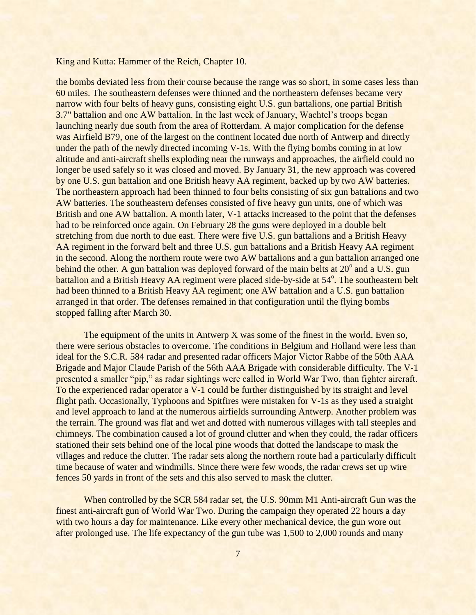the bombs deviated less from their course because the range was so short, in some cases less than 60 miles. The southeastern defenses were thinned and the northeastern defenses became very narrow with four belts of heavy guns, consisting eight U.S. gun battalions, one partial British 3.7" battalion and one AW battalion. In the last week of January, Wachtel"s troops began launching nearly due south from the area of Rotterdam. A major complication for the defense was Airfield B79, one of the largest on the continent located due north of Antwerp and directly under the path of the newly directed incoming V-1s. With the flying bombs coming in at low altitude and anti-aircraft shells exploding near the runways and approaches, the airfield could no longer be used safely so it was closed and moved. By January 31, the new approach was covered by one U.S. gun battalion and one British heavy AA regiment, backed up by two AW batteries. The northeastern approach had been thinned to four belts consisting of six gun battalions and two AW batteries. The southeastern defenses consisted of five heavy gun units, one of which was British and one AW battalion. A month later, V-1 attacks increased to the point that the defenses had to be reinforced once again. On February 28 the guns were deployed in a double belt stretching from due north to due east. There were five U.S. gun battalions and a British Heavy AA regiment in the forward belt and three U.S. gun battalions and a British Heavy AA regiment in the second. Along the northern route were two AW battalions and a gun battalion arranged one behind the other. A gun battalion was deployed forward of the main belts at  $20^{\circ}$  and a U.S. gun battalion and a British Heavy AA regiment were placed side-by-side at 54<sup>°</sup>. The southeastern belt had been thinned to a British Heavy AA regiment; one AW battalion and a U.S. gun battalion arranged in that order. The defenses remained in that configuration until the flying bombs stopped falling after March 30.

The equipment of the units in Antwerp X was some of the finest in the world. Even so, there were serious obstacles to overcome. The conditions in Belgium and Holland were less than ideal for the S.C.R. 584 radar and presented radar officers Major Victor Rabbe of the 50th AAA Brigade and Major Claude Parish of the 56th AAA Brigade with considerable difficulty. The V-1 presented a smaller "pip," as radar sightings were called in World War Two, than fighter aircraft. To the experienced radar operator a V-1 could be further distinguished by its straight and level flight path. Occasionally, Typhoons and Spitfires were mistaken for V-1s as they used a straight and level approach to land at the numerous airfields surrounding Antwerp. Another problem was the terrain. The ground was flat and wet and dotted with numerous villages with tall steeples and chimneys. The combination caused a lot of ground clutter and when they could, the radar officers stationed their sets behind one of the local pine woods that dotted the landscape to mask the villages and reduce the clutter. The radar sets along the northern route had a particularly difficult time because of water and windmills. Since there were few woods, the radar crews set up wire fences 50 yards in front of the sets and this also served to mask the clutter.

When controlled by the SCR 584 radar set, the U.S. 90mm M1 Anti-aircraft Gun was the finest anti-aircraft gun of World War Two. During the campaign they operated 22 hours a day with two hours a day for maintenance. Like every other mechanical device, the gun wore out after prolonged use. The life expectancy of the gun tube was 1,500 to 2,000 rounds and many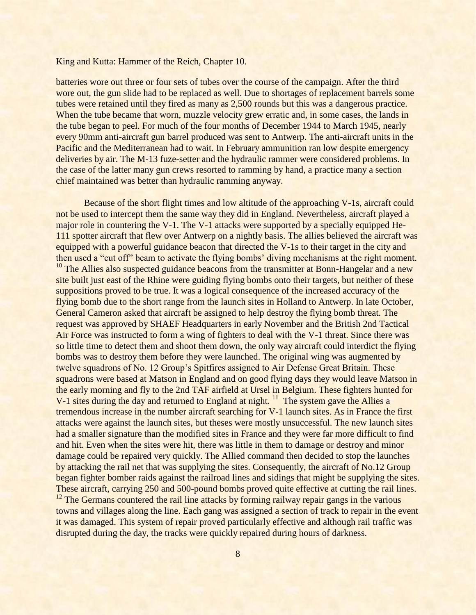batteries wore out three or four sets of tubes over the course of the campaign. After the third wore out, the gun slide had to be replaced as well. Due to shortages of replacement barrels some tubes were retained until they fired as many as 2,500 rounds but this was a dangerous practice. When the tube became that worn, muzzle velocity grew erratic and, in some cases, the lands in the tube began to peel. For much of the four months of December 1944 to March 1945, nearly every 90mm anti-aircraft gun barrel produced was sent to Antwerp. The anti-aircraft units in the Pacific and the Mediterranean had to wait. In February ammunition ran low despite emergency deliveries by air. The M-13 fuze-setter and the hydraulic rammer were considered problems. In the case of the latter many gun crews resorted to ramming by hand, a practice many a section chief maintained was better than hydraulic ramming anyway.

Because of the short flight times and low altitude of the approaching V-1s, aircraft could not be used to intercept them the same way they did in England. Nevertheless, aircraft played a major role in countering the V-1. The V-1 attacks were supported by a specially equipped He-111 spotter aircraft that flew over Antwerp on a nightly basis. The allies believed the aircraft was equipped with a powerful guidance beacon that directed the V-1s to their target in the city and then used a "cut off" beam to activate the flying bombs' diving mechanisms at the right moment. <sup>10</sup> The Allies also suspected guidance beacons from the transmitter at Bonn-Hangelar and a new site built just east of the Rhine were guiding flying bombs onto their targets, but neither of these suppositions proved to be true. It was a logical consequence of the increased accuracy of the flying bomb due to the short range from the launch sites in Holland to Antwerp. In late October, General Cameron asked that aircraft be assigned to help destroy the flying bomb threat. The request was approved by SHAEF Headquarters in early November and the British 2nd Tactical Air Force was instructed to form a wing of fighters to deal with the V-1 threat. Since there was so little time to detect them and shoot them down, the only way aircraft could interdict the flying bombs was to destroy them before they were launched. The original wing was augmented by twelve squadrons of No. 12 Group"s Spitfires assigned to Air Defense Great Britain. These squadrons were based at Matson in England and on good flying days they would leave Matson in the early morning and fly to the 2nd TAF airfield at Ursel in Belgium. These fighters hunted for V-1 sites during the day and returned to England at night.<sup>11</sup> The system gave the Allies a tremendous increase in the number aircraft searching for V-1 launch sites. As in France the first attacks were against the launch sites, but theses were mostly unsuccessful. The new launch sites had a smaller signature than the modified sites in France and they were far more difficult to find and hit. Even when the sites were hit, there was little in them to damage or destroy and minor damage could be repaired very quickly. The Allied command then decided to stop the launches by attacking the rail net that was supplying the sites. Consequently, the aircraft of No.12 Group began fighter bomber raids against the railroad lines and sidings that might be supplying the sites. These aircraft, carrying 250 and 500-pound bombs proved quite effective at cutting the rail lines.

 $12$  The Germans countered the rail line attacks by forming railway repair gangs in the various towns and villages along the line. Each gang was assigned a section of track to repair in the event it was damaged. This system of repair proved particularly effective and although rail traffic was disrupted during the day, the tracks were quickly repaired during hours of darkness.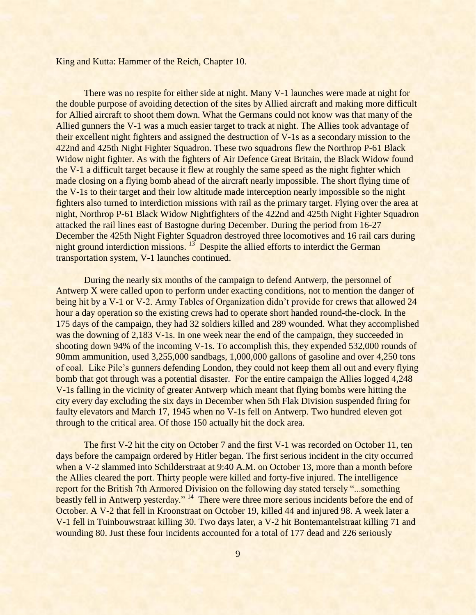There was no respite for either side at night. Many V-1 launches were made at night for the double purpose of avoiding detection of the sites by Allied aircraft and making more difficult for Allied aircraft to shoot them down. What the Germans could not know was that many of the Allied gunners the V-1 was a much easier target to track at night. The Allies took advantage of their excellent night fighters and assigned the destruction of V-1s as a secondary mission to the 422nd and 425th Night Fighter Squadron. These two squadrons flew the Northrop P-61 Black Widow night fighter. As with the fighters of Air Defence Great Britain, the Black Widow found the V-1 a difficult target because it flew at roughly the same speed as the night fighter which made closing on a flying bomb ahead of the aircraft nearly impossible. The short flying time of the V-1s to their target and their low altitude made interception nearly impossible so the night fighters also turned to interdiction missions with rail as the primary target. Flying over the area at night, Northrop P-61 Black Widow Nightfighters of the 422nd and 425th Night Fighter Squadron attacked the rail lines east of Bastogne during December. During the period from 16-27 December the 425th Night Fighter Squadron destroyed three locomotives and 16 rail cars during night ground interdiction missions.  $13$  Despite the allied efforts to interdict the German transportation system, V-1 launches continued.

During the nearly six months of the campaign to defend Antwerp, the personnel of Antwerp X were called upon to perform under exacting conditions, not to mention the danger of being hit by a V-1 or V-2. Army Tables of Organization didn"t provide for crews that allowed 24 hour a day operation so the existing crews had to operate short handed round-the-clock. In the 175 days of the campaign, they had 32 soldiers killed and 289 wounded. What they accomplished was the downing of 2,183 V-1s. In one week near the end of the campaign, they succeeded in shooting down 94% of the incoming V-1s. To accomplish this, they expended 532,000 rounds of 90mm ammunition, used 3,255,000 sandbags, 1,000,000 gallons of gasoline and over 4,250 tons of coal. Like Pile"s gunners defending London, they could not keep them all out and every flying bomb that got through was a potential disaster. For the entire campaign the Allies logged 4,248 V-1s falling in the vicinity of greater Antwerp which meant that flying bombs were hitting the city every day excluding the six days in December when 5th Flak Division suspended firing for faulty elevators and March 17, 1945 when no V-1s fell on Antwerp. Two hundred eleven got through to the critical area. Of those 150 actually hit the dock area.

The first V-2 hit the city on October 7 and the first V-1 was recorded on October 11, ten days before the campaign ordered by Hitler began. The first serious incident in the city occurred when a V-2 slammed into Schilderstraat at 9:40 A.M. on October 13, more than a month before the Allies cleared the port. Thirty people were killed and forty-five injured. The intelligence report for the British 7th Armored Division on the following day stated tersely "...something beastly fell in Antwerp yesterday." <sup>14</sup> There were three more serious incidents before the end of October. A V-2 that fell in Kroonstraat on October 19, killed 44 and injured 98. A week later a V-1 fell in Tuinbouwstraat killing 30. Two days later, a V-2 hit Bontemantelstraat killing 71 and wounding 80. Just these four incidents accounted for a total of 177 dead and 226 seriously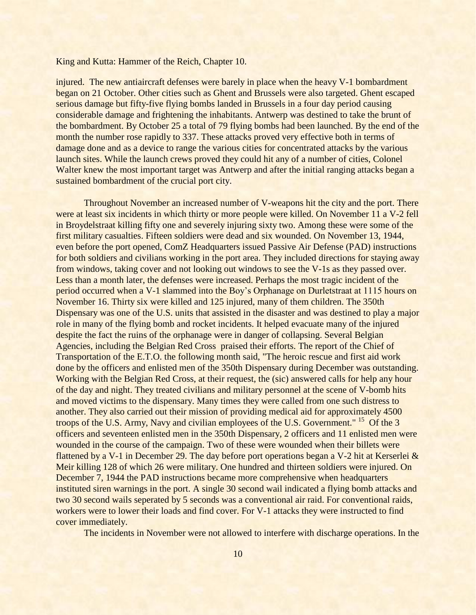injured. The new antiaircraft defenses were barely in place when the heavy V-1 bombardment began on 21 October. Other cities such as Ghent and Brussels were also targeted. Ghent escaped serious damage but fifty-five flying bombs landed in Brussels in a four day period causing considerable damage and frightening the inhabitants. Antwerp was destined to take the brunt of the bombardment. By October 25 a total of 79 flying bombs had been launched. By the end of the month the number rose rapidly to 337. These attacks proved very effective both in terms of damage done and as a device to range the various cities for concentrated attacks by the various launch sites. While the launch crews proved they could hit any of a number of cities, Colonel Walter knew the most important target was Antwerp and after the initial ranging attacks began a sustained bombardment of the crucial port city.

Throughout November an increased number of V-weapons hit the city and the port. There were at least six incidents in which thirty or more people were killed. On November 11 a V-2 fell in Broydelstraat killing fifty one and severely injuring sixty two. Among these were some of the first military casualties. Fifteen soldiers were dead and six wounded. On November 13, 1944, even before the port opened, ComZ Headquarters issued Passive Air Defense (PAD) instructions for both soldiers and civilians working in the port area. They included directions for staying away from windows, taking cover and not looking out windows to see the V-1s as they passed over. Less than a month later, the defenses were increased. Perhaps the most tragic incident of the period occurred when a V-1 slammed into the Boy"s Orphanage on Durletstraat at 1115 hours on November 16. Thirty six were killed and 125 injured, many of them children. The 350th Dispensary was one of the U.S. units that assisted in the disaster and was destined to play a major role in many of the flying bomb and rocket incidents. It helped evacuate many of the injured despite the fact the ruins of the orphanage were in danger of collapsing. Several Belgian Agencies, including the Belgian Red Cross praised their efforts. The report of the Chief of Transportation of the E.T.O. the following month said, "The heroic rescue and first aid work done by the officers and enlisted men of the 350th Dispensary during December was outstanding. Working with the Belgian Red Cross, at their request, the (sic) answered calls for help any hour of the day and night. They treated civilians and military personnel at the scene of V-bomb hits and moved victims to the dispensary. Many times they were called from one such distress to another. They also carried out their mission of providing medical aid for approximately 4500 troops of the U.S. Army, Navy and civilian employees of the U.S. Government." <sup>15</sup> Of the 3 officers and seventeen enlisted men in the 350th Dispensary, 2 officers and 11 enlisted men were wounded in the course of the campaign. Two of these were wounded when their billets were flattened by a V-1 in December 29. The day before port operations began a V-2 hit at Kerserlei & Meir killing 128 of which 26 were military. One hundred and thirteen soldiers were injured. On December 7, 1944 the PAD instructions became more comprehensive when headquarters instituted siren warnings in the port. A single 30 second wail indicated a flying bomb attacks and two 30 second wails seperated by 5 seconds was a conventional air raid. For conventional raids, workers were to lower their loads and find cover. For V-1 attacks they were instructed to find cover immediately.

The incidents in November were not allowed to interfere with discharge operations. In the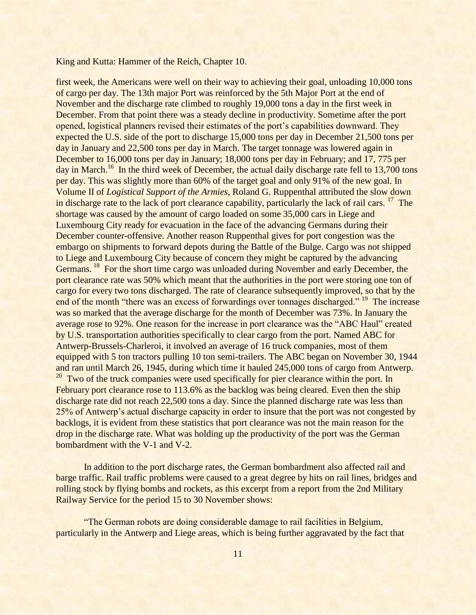first week, the Americans were well on their way to achieving their goal, unloading 10,000 tons of cargo per day. The 13th major Port was reinforced by the 5th Major Port at the end of November and the discharge rate climbed to roughly 19,000 tons a day in the first week in December. From that point there was a steady decline in productivity. Sometime after the port opened, logistical planners revised their estimates of the port"s capabilities downward. They expected the U.S. side of the port to discharge 15,000 tons per day in December 21,500 tons per day in January and 22,500 tons per day in March. The target tonnage was lowered again in December to 16,000 tons per day in January; 18,000 tons per day in February; and 17, 775 per day in March.<sup>16</sup> In the third week of December, the actual daily discharge rate fell to 13,700 tons per day. This was slightly more than 60% of the target goal and only 91% of the new goal. In Volume II of *Logistical Support of the Armies*, Roland G. Ruppenthal attributed the slow down in discharge rate to the lack of port clearance capability, particularly the lack of rail cars. <sup>17</sup> The shortage was caused by the amount of cargo loaded on some 35,000 cars in Liege and Luxembourg City ready for evacuation in the face of the advancing Germans during their December counter-offensive. Another reason Ruppenthal gives for port congestion was the embargo on shipments to forward depots during the Battle of the Bulge. Cargo was not shipped to Liege and Luxembourg City because of concern they might be captured by the advancing Germans.<sup>18</sup> For the short time cargo was unloaded during November and early December, the port clearance rate was 50% which meant that the authorities in the port were storing one ton of cargo for every two tons discharged. The rate of clearance subsequently improved, so that by the end of the month "there was an excess of forwardings over tonnages discharged." <sup>19</sup> The increase was so marked that the average discharge for the month of December was 73%. In January the average rose to 92%. One reason for the increase in port clearance was the "ABC Haul" created by U.S. transportation authorities specifically to clear cargo from the port. Named ABC for Antwerp-Brussels-Charleroi, it involved an average of 16 truck companies, most of them equipped with 5 ton tractors pulling 10 ton semi-trailers. The ABC began on November 30, 1944 and ran until March 26, 1945, during which time it hauled 245,000 tons of cargo from Antwerp. <sup>20</sup> Two of the truck companies were used specifically for pier clearance within the port. In February port clearance rose to 113.6% as the backlog was being cleared. Even then the ship discharge rate did not reach 22,500 tons a day. Since the planned discharge rate was less than 25% of Antwerp"s actual discharge capacity in order to insure that the port was not congested by backlogs, it is evident from these statistics that port clearance was not the main reason for the drop in the discharge rate. What was holding up the productivity of the port was the German bombardment with the V-1 and V-2.

In addition to the port discharge rates, the German bombardment also affected rail and barge traffic. Rail traffic problems were caused to a great degree by hits on rail lines, bridges and rolling stock by flying bombs and rockets, as this excerpt from a report from the 2nd Military Railway Service for the period 15 to 30 November shows:

"The German robots are doing considerable damage to rail facilities in Belgium, particularly in the Antwerp and Liege areas, which is being further aggravated by the fact that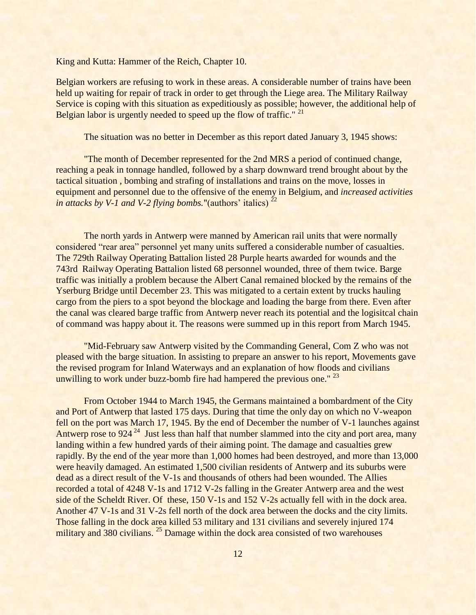Belgian workers are refusing to work in these areas. A considerable number of trains have been held up waiting for repair of track in order to get through the Liege area. The Military Railway Service is coping with this situation as expeditiously as possible; however, the additional help of Belgian labor is urgently needed to speed up the flow of traffic." <sup>21</sup>

The situation was no better in December as this report dated January 3, 1945 shows:

"The month of December represented for the 2nd MRS a period of continued change, reaching a peak in tonnage handled, followed by a sharp downward trend brought about by the tactical situation , bombing and strafing of installations and trains on the move, losses in equipment and personnel due to the offensive of the enemy in Belgium, and *increased activities in attacks by V-1 and V-2 flying bombs.*"(authors' italics)  $2^2$ 

The north yards in Antwerp were manned by American rail units that were normally considered "rear area" personnel yet many units suffered a considerable number of casualties. The 729th Railway Operating Battalion listed 28 Purple hearts awarded for wounds and the 743rd Railway Operating Battalion listed 68 personnel wounded, three of them twice. Barge traffic was initially a problem because the Albert Canal remained blocked by the remains of the Yserburg Bridge until December 23. This was mitigated to a certain extent by trucks hauling cargo from the piers to a spot beyond the blockage and loading the barge from there. Even after the canal was cleared barge traffic from Antwerp never reach its potential and the logisitcal chain of command was happy about it. The reasons were summed up in this report from March 1945.

"Mid-February saw Antwerp visited by the Commanding General, Com Z who was not pleased with the barge situation. In assisting to prepare an answer to his report, Movements gave the revised program for Inland Waterways and an explanation of how floods and civilians unwilling to work under buzz-bomb fire had hampered the previous one."  $23$ 

From October 1944 to March 1945, the Germans maintained a bombardment of the City and Port of Antwerp that lasted 175 days. During that time the only day on which no V-weapon fell on the port was March 17, 1945. By the end of December the number of V-1 launches against Antwerp rose to 924<sup>24</sup> Just less than half that number slammed into the city and port area, many landing within a few hundred yards of their aiming point. The damage and casualties grew rapidly. By the end of the year more than 1,000 homes had been destroyed, and more than 13,000 were heavily damaged. An estimated 1,500 civilian residents of Antwerp and its suburbs were dead as a direct result of the V-1s and thousands of others had been wounded. The Allies recorded a total of 4248 V-1s and 1712 V-2s falling in the Greater Antwerp area and the west side of the Scheldt River. Of these, 150 V-1s and 152 V-2s actually fell with in the dock area. Another 47 V-1s and 31 V-2s fell north of the dock area between the docks and the city limits. Those falling in the dock area killed 53 military and 131 civilians and severely injured 174 military and 380 civilians.<sup>25</sup> Damage within the dock area consisted of two warehouses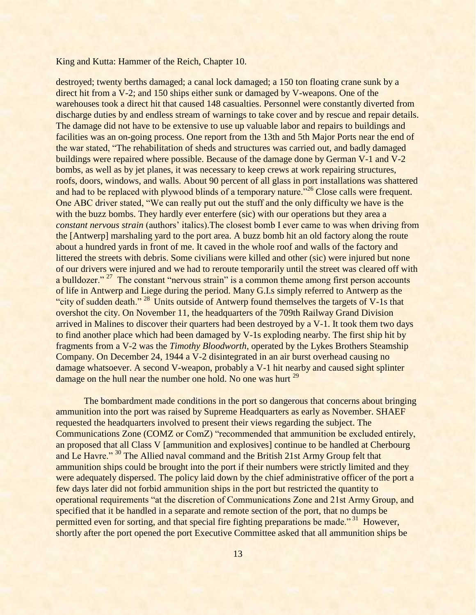destroyed; twenty berths damaged; a canal lock damaged; a 150 ton floating crane sunk by a direct hit from a V-2; and 150 ships either sunk or damaged by V-weapons. One of the warehouses took a direct hit that caused 148 casualties. Personnel were constantly diverted from discharge duties by and endless stream of warnings to take cover and by rescue and repair details. The damage did not have to be extensive to use up valuable labor and repairs to buildings and facilities was an on-going process. One report from the 13th and 5th Major Ports near the end of the war stated, "The rehabilitation of sheds and structures was carried out, and badly damaged buildings were repaired where possible. Because of the damage done by German V-1 and V-2 bombs, as well as by jet planes, it was necessary to keep crews at work repairing structures, roofs, doors, windows, and walls. About 90 percent of all glass in port installations was shattered and had to be replaced with plywood blinds of a temporary nature."<sup>26</sup> Close calls were frequent. One ABC driver stated, "We can really put out the stuff and the only difficulty we have is the with the buzz bombs. They hardly ever enterfere (sic) with our operations but they area a *constant nervous strain* (authors" italics).The closest bomb I ever came to was when driving from the [Antwerp] marshaling yard to the port area. A buzz bomb hit an old factory along the route about a hundred yards in front of me. It caved in the whole roof and walls of the factory and littered the streets with debris. Some civilians were killed and other (sic) were injured but none of our drivers were injured and we had to reroute temporarily until the street was cleared off with a bulldozer."<sup>27</sup> The constant "nervous strain" is a common theme among first person accounts of life in Antwerp and Liege during the period. Many G.I.s simply referred to Antwerp as the "city of sudden death."  $^{28}$  Units outside of Antwerp found themselves the targets of V-1s that overshot the city. On November 11, the headquarters of the 709th Railway Grand Division arrived in Malines to discover their quarters had been destroyed by a V-1. It took them two days to find another place which had been damaged by V-1s exploding nearby. The first ship hit by fragments from a V-2 was the *Timothy Bloodworth*, operated by the Lykes Brothers Steamship Company. On December 24, 1944 a V-2 disintegrated in an air burst overhead causing no damage whatsoever. A second V-weapon, probably a V-1 hit nearby and caused sight splinter damage on the hull near the number one hold. No one was hurt <sup>29</sup>

The bombardment made conditions in the port so dangerous that concerns about bringing ammunition into the port was raised by Supreme Headquarters as early as November. SHAEF requested the headquarters involved to present their views regarding the subject. The Communications Zone (COMZ or ComZ) "recommended that ammunition be excluded entirely, an proposed that all Class V [ammunition and explosives] continue to be handled at Cherbourg and Le Havre." <sup>30</sup> The Allied naval command and the British 21st Army Group felt that ammunition ships could be brought into the port if their numbers were strictly limited and they were adequately dispersed. The policy laid down by the chief administrative officer of the port a few days later did not forbid ammunition ships in the port but restricted the quantity to operational requirements "at the discretion of Communications Zone and 21st Army Group, and specified that it be handled in a separate and remote section of the port, that no dumps be permitted even for sorting, and that special fire fighting preparations be made."<sup>31</sup> However, shortly after the port opened the port Executive Committee asked that all ammunition ships be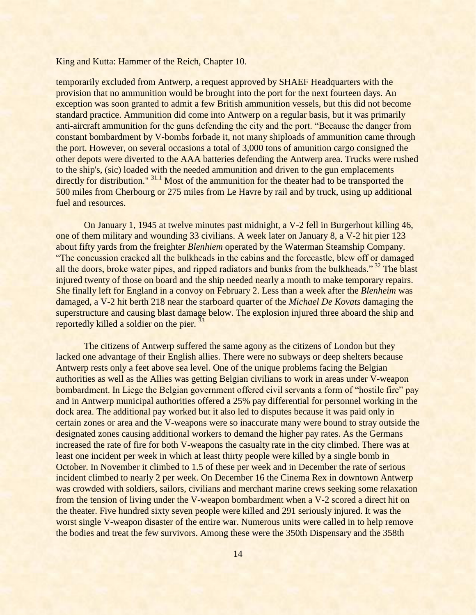temporarily excluded from Antwerp, a request approved by SHAEF Headquarters with the provision that no ammunition would be brought into the port for the next fourteen days. An exception was soon granted to admit a few British ammunition vessels, but this did not become standard practice. Ammunition did come into Antwerp on a regular basis, but it was primarily anti-aircraft ammunition for the guns defending the city and the port. "Because the danger from constant bombardment by V-bombs forbade it, not many shiploads of ammunition came through the port. However, on several occasions a total of 3,000 tons of amunition cargo consigned the other depots were diverted to the AAA batteries defending the Antwerp area. Trucks were rushed to the ship's, (sic) loaded with the needed ammunition and driven to the gun emplacements directly for distribution." <sup>31.1</sup> Most of the ammunition for the theater had to be transported the 500 miles from Cherbourg or 275 miles from Le Havre by rail and by truck, using up additional fuel and resources.

On January 1, 1945 at twelve minutes past midnight, a V-2 fell in Burgerhout killing 46, one of them military and wounding 33 civilians. A week later on January 8, a V-2 hit pier 123 about fifty yards from the freighter *Blenhiem* operated by the Waterman Steamship Company. "The concussion cracked all the bulkheads in the cabins and the forecastle, blew off or damaged all the doors, broke water pipes, and ripped radiators and bunks from the bulkheads."<sup>32</sup> The blast injured twenty of those on board and the ship needed nearly a month to make temporary repairs. She finally left for England in a convoy on February 2. Less than a week after the *Blenheim* was damaged, a V-2 hit berth 218 near the starboard quarter of the *Michael De Kovats* damaging the superstructure and causing blast damage below. The explosion injured three aboard the ship and reportedly killed a soldier on the pier.<sup>33</sup>

The citizens of Antwerp suffered the same agony as the citizens of London but they lacked one advantage of their English allies. There were no subways or deep shelters because Antwerp rests only a feet above sea level. One of the unique problems facing the Belgian authorities as well as the Allies was getting Belgian civilians to work in areas under V-weapon bombardment. In Liege the Belgian government offered civil servants a form of "hostile fire" pay and in Antwerp municipal authorities offered a 25% pay differential for personnel working in the dock area. The additional pay worked but it also led to disputes because it was paid only in certain zones or area and the V-weapons were so inaccurate many were bound to stray outside the designated zones causing additional workers to demand the higher pay rates. As the Germans increased the rate of fire for both V-weapons the casualty rate in the city climbed. There was at least one incident per week in which at least thirty people were killed by a single bomb in October. In November it climbed to 1.5 of these per week and in December the rate of serious incident climbed to nearly 2 per week. On December 16 the Cinema Rex in downtown Antwerp was crowded with soldiers, sailors, civilians and merchant marine crews seeking some relaxation from the tension of living under the V-weapon bombardment when a V-2 scored a direct hit on the theater. Five hundred sixty seven people were killed and 291 seriously injured. It was the worst single V-weapon disaster of the entire war. Numerous units were called in to help remove the bodies and treat the few survivors. Among these were the 350th Dispensary and the 358th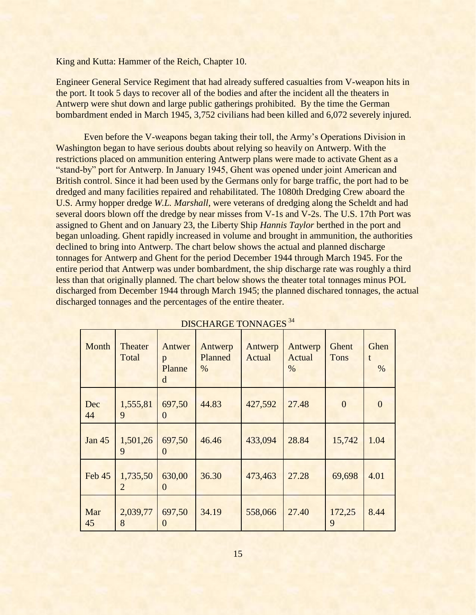Engineer General Service Regiment that had already suffered casualties from V-weapon hits in the port. It took 5 days to recover all of the bodies and after the incident all the theaters in Antwerp were shut down and large public gatherings prohibited. By the time the German bombardment ended in March 1945, 3,752 civilians had been killed and 6,072 severely injured.

Even before the V-weapons began taking their toll, the Army"s Operations Division in Washington began to have serious doubts about relying so heavily on Antwerp. With the restrictions placed on ammunition entering Antwerp plans were made to activate Ghent as a "stand-by" port for Antwerp. In January 1945, Ghent was opened under joint American and British control. Since it had been used by the Germans only for barge traffic, the port had to be dredged and many facilities repaired and rehabilitated. The 1080th Dredging Crew aboard the U.S. Army hopper dredge *W.L. Marshall*, were veterans of dredging along the Scheldt and had several doors blown off the dredge by near misses from V-1s and V-2s. The U.S. 17th Port was assigned to Ghent and on January 23, the Liberty Ship *Hannis Taylor* berthed in the port and began unloading. Ghent rapidly increased in volume and brought in ammunition, the authorities declined to bring into Antwerp. The chart below shows the actual and planned discharge tonnages for Antwerp and Ghent for the period December 1944 through March 1945. For the entire period that Antwerp was under bombardment, the ship discharge rate was roughly a third less than that originally planned. The chart below shows the theater total tonnages minus POL discharged from December 1944 through March 1945; the planned dischared tonnages, the actual discharged tonnages and the percentages of the entire theater.

| Month         | <b>Theater</b><br>Total    | Antwer<br>p<br>Planne<br>d | Antwerp<br>Planned<br>$\%$ | Antwerp<br>Actual | Antwerp<br>Actual<br>$\%$ | Ghent<br><b>Tons</b> | Ghen<br>t<br>$\%$ |
|---------------|----------------------------|----------------------------|----------------------------|-------------------|---------------------------|----------------------|-------------------|
| Dec<br>44     | 1,555,81<br>9              | 697,50<br>$\theta$         | 44.83                      | 427,592           | 27.48                     | $\overline{0}$       | $\Omega$          |
| <b>Jan 45</b> | 1,501,26<br>9              | 697,50<br>$\Omega$         | 46.46                      | 433,094           | 28.84                     | 15,742               | 1.04              |
| Feb 45        | 1,735,50<br>$\overline{2}$ | 630,00<br>$\Omega$         | 36.30                      | 473,463           | 27.28                     | 69,698               | 4.01              |
| Mar<br>45     | 2,039,77<br>8              | 697,50<br>0                | 34.19                      | 558,066           | 27.40                     | 172,25<br>9          | 8.44              |

DISCHARGE TONNAGES<sup>34</sup>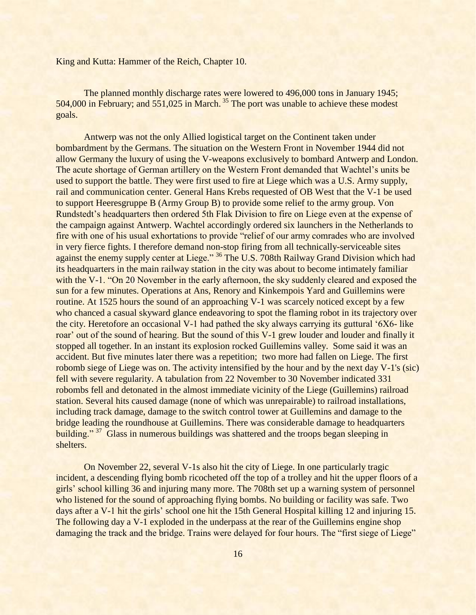The planned monthly discharge rates were lowered to 496,000 tons in January 1945; 504,000 in February; and 551,025 in March. <sup>35</sup> The port was unable to achieve these modest goals.

Antwerp was not the only Allied logistical target on the Continent taken under bombardment by the Germans. The situation on the Western Front in November 1944 did not allow Germany the luxury of using the V-weapons exclusively to bombard Antwerp and London. The acute shortage of German artillery on the Western Front demanded that Wachtel"s units be used to support the battle. They were first used to fire at Liege which was a U.S. Army supply, rail and communication center. General Hans Krebs requested of OB West that the V-1 be used to support Heeresgruppe B (Army Group B) to provide some relief to the army group. Von Rundstedt"s headquarters then ordered 5th Flak Division to fire on Liege even at the expense of the campaign against Antwerp. Wachtel accordingly ordered six launchers in the Netherlands to fire with one of his usual exhortations to provide "relief of our army comrades who are involved in very fierce fights. I therefore demand non-stop firing from all technically-serviceable sites against the enemy supply center at Liege." <sup>36</sup> The U.S. 708th Railway Grand Division which had its headquarters in the main railway station in the city was about to become intimately familiar with the V-1. "On 20 November in the early afternoon, the sky suddenly cleared and exposed the sun for a few minutes. Operations at Ans, Renory and Kinkempois Yard and Guillemins were routine. At 1525 hours the sound of an approaching V-1 was scarcely noticed except by a few who chanced a casual skyward glance endeavoring to spot the flaming robot in its trajectory over the city. Heretofore an occasional V-1 had pathed the sky always carrying its guttural "6X6- like roar' out of the sound of hearing. But the sound of this V-1 grew louder and louder and finally it stopped all together. In an instant its explosion rocked Guillemins valley. Some said it was an accident. But five minutes later there was a repetition; two more had fallen on Liege. The first robomb siege of Liege was on. The activity intensified by the hour and by the next day V-1's (sic) fell with severe regularity. A tabulation from 22 November to 30 November indicated 331 robombs fell and detonated in the almost immediate vicinity of the Liege (Guillemins) railroad station. Several hits caused damage (none of which was unrepairable) to railroad installations, including track damage, damage to the switch control tower at Guillemins and damage to the bridge leading the roundhouse at Guillemins. There was considerable damage to headquarters building."<sup>37</sup> Glass in numerous buildings was shattered and the troops began sleeping in shelters.

On November 22, several V-1s also hit the city of Liege. In one particularly tragic incident, a descending flying bomb ricocheted off the top of a trolley and hit the upper floors of a girls" school killing 36 and injuring many more. The 708th set up a warning system of personnel who listened for the sound of approaching flying bombs. No building or facility was safe. Two days after a V-1 hit the girls' school one hit the 15th General Hospital killing 12 and injuring 15. The following day a V-1 exploded in the underpass at the rear of the Guillemins engine shop damaging the track and the bridge. Trains were delayed for four hours. The "first siege of Liege"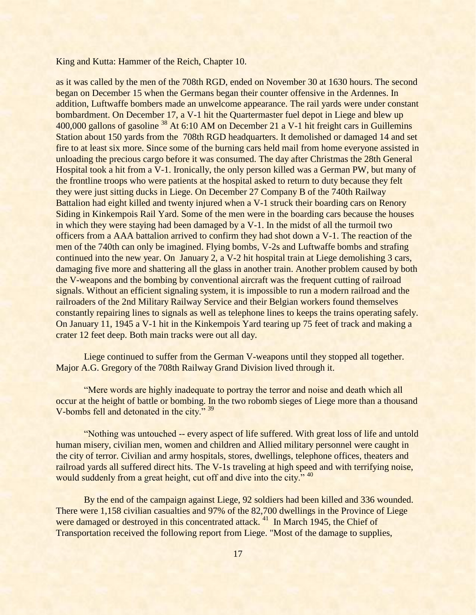as it was called by the men of the 708th RGD, ended on November 30 at 1630 hours. The second began on December 15 when the Germans began their counter offensive in the Ardennes. In addition, Luftwaffe bombers made an unwelcome appearance. The rail yards were under constant bombardment. On December 17, a V-1 hit the Quartermaster fuel depot in Liege and blew up 400,000 gallons of gasoline <sup>38</sup> At 6:10 AM on December 21 a V-1 hit freight cars in Guillemins Station about 150 yards from the 708th RGD headquarters. It demolished or damaged 14 and set fire to at least six more. Since some of the burning cars held mail from home everyone assisted in unloading the precious cargo before it was consumed. The day after Christmas the 28th General Hospital took a hit from a V-1. Ironically, the only person killed was a German PW, but many of the frontline troops who were patients at the hospital asked to return to duty because they felt they were just sitting ducks in Liege. On December 27 Company B of the 740th Railway Battalion had eight killed and twenty injured when a V-1 struck their boarding cars on Renory Siding in Kinkempois Rail Yard. Some of the men were in the boarding cars because the houses in which they were staying had been damaged by a V-1. In the midst of all the turmoil two officers from a AAA battalion arrived to confirm they had shot down a V-1. The reaction of the men of the 740th can only be imagined. Flying bombs, V-2s and Luftwaffe bombs and strafing continued into the new year. On January 2, a V-2 hit hospital train at Liege demolishing 3 cars, damaging five more and shattering all the glass in another train. Another problem caused by both the V-weapons and the bombing by conventional aircraft was the frequent cutting of railroad signals. Without an efficient signaling system, it is impossible to run a modern railroad and the railroaders of the 2nd Military Railway Service and their Belgian workers found themselves constantly repairing lines to signals as well as telephone lines to keeps the trains operating safely. On January 11, 1945 a V-1 hit in the Kinkempois Yard tearing up 75 feet of track and making a crater 12 feet deep. Both main tracks were out all day.

Liege continued to suffer from the German V-weapons until they stopped all together. Major A.G. Gregory of the 708th Railway Grand Division lived through it.

"Mere words are highly inadequate to portray the terror and noise and death which all occur at the height of battle or bombing. In the two robomb sieges of Liege more than a thousand V-bombs fell and detonated in the city." <sup>39</sup>

"Nothing was untouched -- every aspect of life suffered. With great loss of life and untold human misery, civilian men, women and children and Allied military personnel were caught in the city of terror. Civilian and army hospitals, stores, dwellings, telephone offices, theaters and railroad yards all suffered direct hits. The V-1s traveling at high speed and with terrifying noise, would suddenly from a great height, cut off and dive into the city." <sup>40</sup>

By the end of the campaign against Liege, 92 soldiers had been killed and 336 wounded. There were 1,158 civilian casualties and 97% of the 82,700 dwellings in the Province of Liege were damaged or destroyed in this concentrated attack.<sup>41</sup> In March 1945, the Chief of Transportation received the following report from Liege. "Most of the damage to supplies,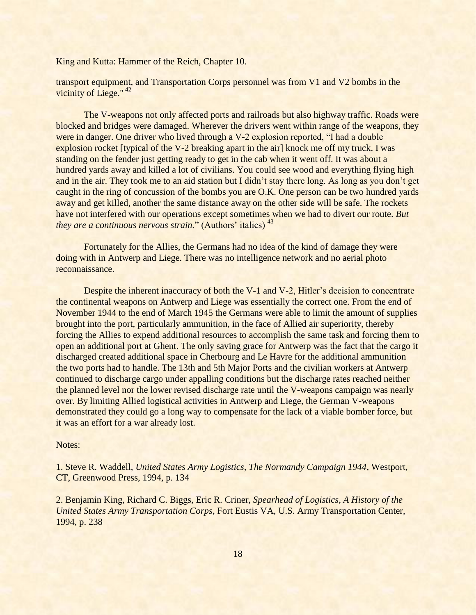transport equipment, and Transportation Corps personnel was from V1 and V2 bombs in the vicinity of Liege." <sup>42</sup>

The V-weapons not only affected ports and railroads but also highway traffic. Roads were blocked and bridges were damaged. Wherever the drivers went within range of the weapons, they were in danger. One driver who lived through a V-2 explosion reported, "I had a double explosion rocket [typical of the V-2 breaking apart in the air] knock me off my truck. I was standing on the fender just getting ready to get in the cab when it went off. It was about a hundred yards away and killed a lot of civilians. You could see wood and everything flying high and in the air. They took me to an aid station but I didn't stay there long. As long as you don't get caught in the ring of concussion of the bombs you are O.K. One person can be two hundred yards away and get killed, another the same distance away on the other side will be safe. The rockets have not interfered with our operations except sometimes when we had to divert our route. *But they are a continuous nervous strain.*" (Authors' italics)<sup>43</sup>

Fortunately for the Allies, the Germans had no idea of the kind of damage they were doing with in Antwerp and Liege. There was no intelligence network and no aerial photo reconnaissance.

Despite the inherent inaccuracy of both the V-1 and V-2, Hitler's decision to concentrate the continental weapons on Antwerp and Liege was essentially the correct one. From the end of November 1944 to the end of March 1945 the Germans were able to limit the amount of supplies brought into the port, particularly ammunition, in the face of Allied air superiority, thereby forcing the Allies to expend additional resources to accomplish the same task and forcing them to open an additional port at Ghent. The only saving grace for Antwerp was the fact that the cargo it discharged created additional space in Cherbourg and Le Havre for the additional ammunition the two ports had to handle. The 13th and 5th Major Ports and the civilian workers at Antwerp continued to discharge cargo under appalling conditions but the discharge rates reached neither the planned level nor the lower revised discharge rate until the V-weapons campaign was nearly over. By limiting Allied logistical activities in Antwerp and Liege, the German V-weapons demonstrated they could go a long way to compensate for the lack of a viable bomber force, but it was an effort for a war already lost.

## Notes:

1. Steve R. Waddell, *United States Army Logistics, The Normandy Campaign 1944*, Westport, CT, Greenwood Press, 1994, p. 134

2. Benjamin King, Richard C. Biggs, Eric R. Criner, *Spearhead of Logistics, A History of the United States Army Transportation Corps*, Fort Eustis VA, U.S. Army Transportation Center, 1994, p. 238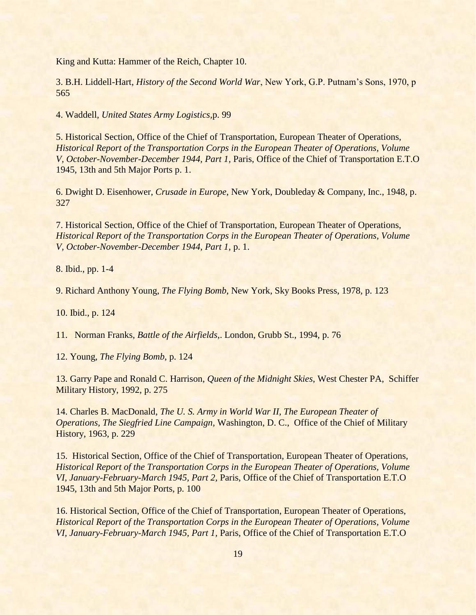3. B.H. Liddell-Hart, *History of the Second World War*, New York, G.P. Putnam"s Sons, 1970, p 565

4. Waddell, *United States Army Logistics,*p. 99

5. Historical Section, Office of the Chief of Transportation, European Theater of Operations, *Historical Report of the Transportation Corps in the European Theater of Operations, Volume V, October-November-December 1944, Part 1,* Paris, Office of the Chief of Transportation E.T.O 1945, 13th and 5th Major Ports p. 1.

6. Dwight D. Eisenhower, *Crusade in Europe*, New York, Doubleday & Company, Inc., 1948, p. 327

7. Historical Section, Office of the Chief of Transportation, European Theater of Operations, *Historical Report of the Transportation Corps in the European Theater of Operations, Volume V, October-November-December 1944, Part 1,* p. 1.

8. Ibid., pp. 1-4

9. Richard Anthony Young, *The Flying Bomb*, New York, Sky Books Press, 1978, p. 123

10. Ibid., p. 124

11. Norman Franks, *Battle of the Airfields*,. London, Grubb St., 1994, p. 76

12. Young, *The Flying Bomb*, p. 124

13. Garry Pape and Ronald C. Harrison, *Queen of the Midnight Skies*, West Chester PA, Schiffer Military History, 1992, p. 275

14. Charles B. MacDonald, *The U. S. Army in World War II, The European Theater of Operations, The Siegfried Line Campaign,* Washington, D. C., Office of the Chief of Military History, 1963, p. 229

15. Historical Section, Office of the Chief of Transportation, European Theater of Operations, *Historical Report of the Transportation Corps in the European Theater of Operations, Volume VI, January-February-March 1945, Part 2,* Paris, Office of the Chief of Transportation E.T.O 1945, 13th and 5th Major Ports, p. 100

16. Historical Section, Office of the Chief of Transportation, European Theater of Operations, *Historical Report of the Transportation Corps in the European Theater of Operations, Volume VI, January-February-March 1945, Part 1,* Paris, Office of the Chief of Transportation E.T.O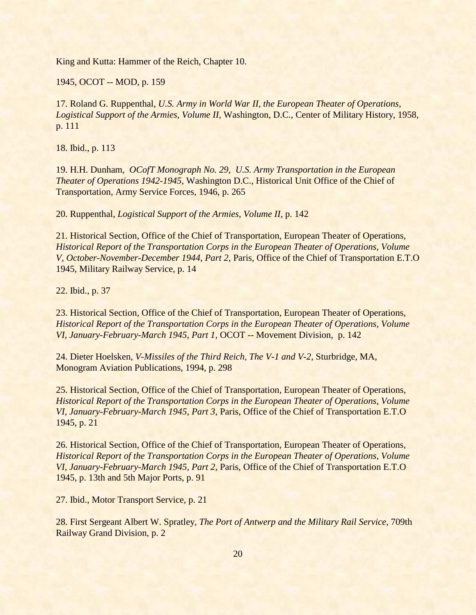1945, OCOT -- MOD, p. 159

17. Roland G. Ruppenthal, *U.S. Army in World War II, the European Theater of Operations, Logistical Support of the Armies, Volume II*, Washington, D.C., Center of Military History, 1958, p. 111

18. Ibid., p. 113

19. H.H. Dunham, *OCofT Monograph No. 29, U.S. Army Transportation in the European Theater of Operations 1942-1945*, Washington D.C., Historical Unit Office of the Chief of Transportation, Army Service Forces, 1946, p. 265

20. Ruppenthal, *Logistical Support of the Armies, Volume II*, p. 142

21. Historical Section, Office of the Chief of Transportation, European Theater of Operations, *Historical Report of the Transportation Corps in the European Theater of Operations, Volume V, October-November-December 1944, Part 2*, Paris, Office of the Chief of Transportation E.T.O 1945, Military Railway Service, p. 14

22. Ibid., p. 37

23. Historical Section, Office of the Chief of Transportation, European Theater of Operations, *Historical Report of the Transportation Corps in the European Theater of Operations, Volume VI, January-February-March 1945, Part 1,* OCOT -- Movement Division, p. 142

24. Dieter Hoelsken, *V-Missiles of the Third Reich, The V-1 and V-2*, Sturbridge, MA, Monogram Aviation Publications, 1994, p. 298

25. Historical Section, Office of the Chief of Transportation, European Theater of Operations, *Historical Report of the Transportation Corps in the European Theater of Operations, Volume VI, January-February-March 1945, Part 3*, Paris, Office of the Chief of Transportation E.T.O 1945, p. 21

26. Historical Section, Office of the Chief of Transportation, European Theater of Operations, *Historical Report of the Transportation Corps in the European Theater of Operations, Volume VI, January-February-March 1945, Part 2,* Paris, Office of the Chief of Transportation E.T.O 1945, p. 13th and 5th Major Ports, p. 91

27. Ibid., Motor Transport Service, p. 21

28. First Sergeant Albert W. Spratley, *The Port of Antwerp and the Military Rail Service*, 709th Railway Grand Division, p. 2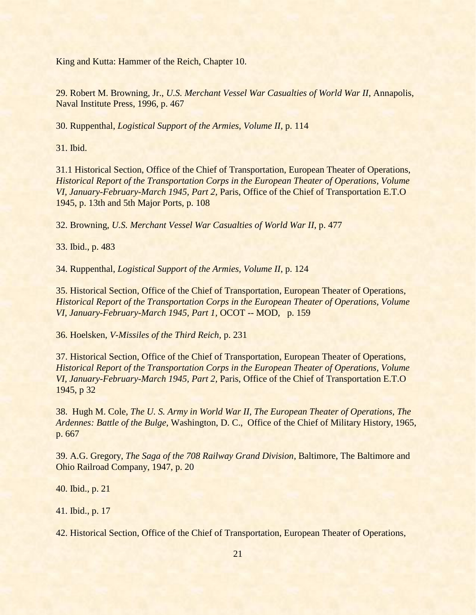29. Robert M. Browning, Jr., *U.S. Merchant Vessel War Casualties of World War II*, Annapolis, Naval Institute Press, 1996, p. 467

30. Ruppenthal, *Logistical Support of the Armies, Volume II*, p. 114

31. Ibid.

31.1 Historical Section, Office of the Chief of Transportation, European Theater of Operations, *Historical Report of the Transportation Corps in the European Theater of Operations, Volume VI, January-February-March 1945, Part 2,* Paris, Office of the Chief of Transportation E.T.O 1945, p. 13th and 5th Major Ports, p. 108

32. Browning, *U.S. Merchant Vessel War Casualties of World War II*, p. 477

33. Ibid., p. 483

34. Ruppenthal, *Logistical Support of the Armies, Volume II*, p. 124

35. Historical Section, Office of the Chief of Transportation, European Theater of Operations, *Historical Report of the Transportation Corps in the European Theater of Operations, Volume VI, January-February-March 1945, Part 1,* OCOT -- MOD, p. 159

36. Hoelsken, *V-Missiles of the Third Reich,* p. 231

37. Historical Section, Office of the Chief of Transportation, European Theater of Operations, *Historical Report of the Transportation Corps in the European Theater of Operations, Volume VI, January-February-March 1945, Part 2,* Paris, Office of the Chief of Transportation E.T.O 1945, p 32

38. Hugh M. Cole, *The U. S. Army in World War II, The European Theater of Operations, The Ardennes: Battle of the Bulge,* Washington, D. C., Office of the Chief of Military History, 1965, p. 667

39. A.G. Gregory, *The Saga of the 708 Railway Grand Division*, Baltimore, The Baltimore and Ohio Railroad Company, 1947, p. 20

40. Ibid., p. 21

41. Ibid., p. 17

42. Historical Section, Office of the Chief of Transportation, European Theater of Operations,